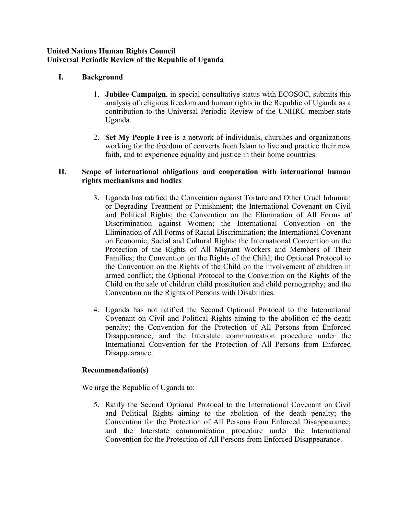## **United Nations Human Rights Council Universal Periodic Review of the Republic of Uganda**

# **I. Background**

- 1. **Jubilee Campaign**, in special consultative status with ECOSOC, submits this analysis of religious freedom and human rights in the Republic of Uganda as <sup>a</sup> contribution to the Universal Periodic Review of the UNHRC member-state Uganda.
- 2. **Set My People Free** is <sup>a</sup> network of individuals, churches and organizations working for the freedom of converts from Islam to live and practice their new faith, and to experience equality and justice in their home countries.

## **II. Scope of international obligations and cooperation with international human rights mechanisms and bodies**

- 3. Uganda has ratified the Convention against Torture and Other Cruel Inhuman or Degrading Treatment or Punishment; the International Covenant on Civil and Political Rights; the Convention on the Elimination of All Forms of Discrimination against Women; the International Convention on the Elimination of All Forms of Racial Discrimination; the International Covenant on Economic, Social and Cultural Rights; the International Convention on the Protection of the Rights of All Migrant Workers and Members of Their Families; the Convention on the Rights of the Child; the Optional Protocol to the Convention on the Rights of the Child on the involvement of children in armed conflict; the Optional Protocol to the Convention on the Rights of the Child on the sale of children child prostitution and child pornography; and the Convention on the Rights of Persons with Disabilities.
- 4. Uganda has not ratified the Second Optional Protocol to the International Covenant on Civil and Political Rights aiming to the abolition of the death penalty; the Convention for the Protection of All Persons from Enforced Disappearance; and the Interstate communication procedure under the International Convention for the Protection of All Persons from Enforced Disappearance.

### **Recommendation(s)**

We urge the Republic of Uganda to:

5. Ratify the Second Optional Protocol to the International Covenant on Civil and Political Rights aiming to the abolition of the death penalty; the Convention for the Protection of All Persons from Enforced Disappearance; and the Interstate communication procedure under the International Convention for the Protection of All Persons from Enforced Disappearance.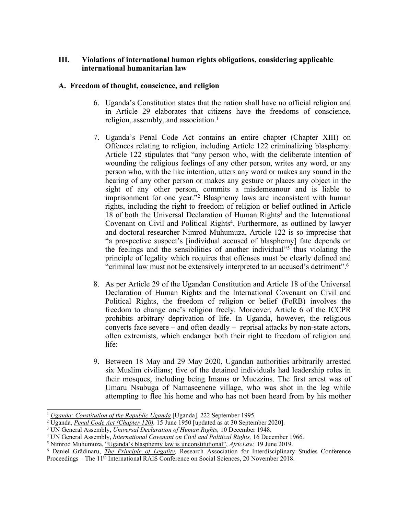# **III. Violations of international human rights obligations, considering applicable international humanitarian law**

## **A. Freedom of thought, conscience, and religion**

- 6. Uganda'<sup>s</sup> Constitution states that the nation shall have no official religion and in Article 29 elaborates that citizens have the freedoms of conscience, religion, assembly, and association. 1
- 7. Uganda'<sup>s</sup> Penal Code Act contains an entire chapter (Chapter XIII) on Offences relating to religion, including Article 122 criminalizing blasphemy. Article 122 stipulates that "any person who, with the deliberate intention of wounding the religious feelings of any other person, writes any word, or any person who, with the like intention, utters any word or makes any sound in the hearing of any other person or makes any gesture or places any object in the sight of any other person, commits <sup>a</sup> misdemeanour and is liable to imprisonment for one year."<sup>2</sup> Blasphemy laws are inconsistent with human rights, including the right to freedom of religion or belief outlined in Article 18 of both the Universal Declaration of Human Rights 3 and the International Covenant on Civil and Political Rights 4 . Furthermore, as outlined by lawyer and doctoral researcher Nimrod Muhumuza, Article 122 is so imprecise that "<sup>a</sup> prospective suspect'<sup>s</sup> [individual accused of blasphemy] fate depends on the feelings and the sensibilities of another individual"<sup>5</sup> thus violating the principle of legality which requires that offenses must be clearly defined and "criminal law must not be extensively interpreted to an accused'<sup>s</sup> detriment". 6
- 8. As per Article 29 of the Ugandan Constitution and Article 18 of the Universal Declaration of Human Rights and the International Covenant on Civil and Political Rights, the freedom of religion or belief (FoRB) involves the freedom to change one'<sup>s</sup> religion freely. Moreover, Article 6 of the ICCPR prohibits arbitrary deprivation of life. In Uganda, however, the religious converts face severe – and often deadly – reprisal attacks by non-state actors, often extremists, which endanger both their right to freedom of religion and life:
- 9. Between 18 May and 29 May 2020, Ugandan authorities arbitrarily arrested six Muslim civilians; five of the detained individuals had leadership roles in their mosques, including being Imams or Muezzins. The first arrest was of Umaru Nsubuga of Namaseenene village, who was shot in the leg while attempting to flee his home and who has not been heard from by his mother

<sup>1</sup> *Uganda: [Constitution](https://www.constituteproject.org/constitution/Uganda_2017?lang=en) of the Republic Uganda* [Uganda], <sup>222</sup> September 1995.

<sup>2</sup> Uganda, *Penal Code Act [\(Chapter](https://www.ulii.org/akn/ug/act/ord/1950/12/eng@2014-05-09#sec_118) 120),* 15 June 1950 [updated as at 30 September 2020].

<sup>3</sup> UN General Assembly, *Universal [Declaration](https://www.ohchr.org/en/udhr/documents/udhr_translations/eng.pdf) of Human Rights,* 10 December 1948.

<sup>4</sup> UN General Assembly, *[International](https://www.ohchr.org/documents/professionalinterest/ccpr.pdf) Covenant on Civil and Political Rights,* 16 December 1966.

<sup>5</sup> Nimrod Muhumuza, "Uganda'<sup>s</sup> blasphemy law is [unconstitutional](https://africlaw.com/2019/06/19/ugandas-blasphemy-law-is-unconstitutional/)", *AfricLaw,* 19 June 2019.

<sup>6</sup> Daniel Grădinaru, *The [Principle](https://papers.ssrn.com/sol3/papers.cfm?abstract_id=3303525) of Legality,* Research Association for Interdisciplinary Studies Conference Proceedings – The <sup>11</sup>th International RAIS Conference on Social Sciences, 20 November 2018.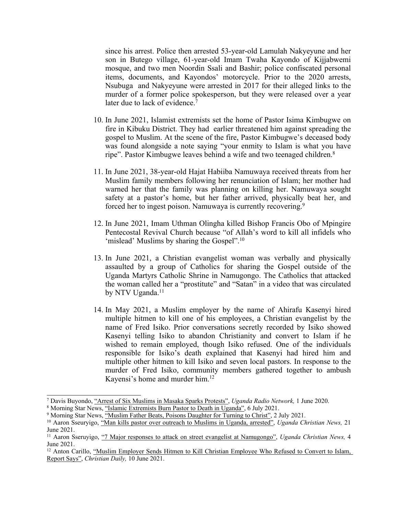since his arrest. Police then arrested 53-year-old Lamulah Nakyeyune and her son in Butego village, 61-year-old Imam Twaha Kayondo of Kijjabwemi mosque, and two men Noordin Ssali and Bashir; police confiscated personal items, documents, and Kayondos' motorcycle. Prior to the 2020 arrests, Nsubuga and Nakyeyune were arrested in 2017 for their alleged links to the murder of <sup>a</sup> former police spokesperson, but they were released over <sup>a</sup> year later due to lack of evidence.<sup>7</sup>

- 10. In June 2021, Islamist extremists set the home of Pastor Isima Kimbugwe on fire in Kibuku District. They had earlier threatened him against spreading the gospel to Muslim. At the scene of the fire, Pastor Kimbugwe'<sup>s</sup> deceased body was found alongside <sup>a</sup> note saying "your enmity to Islam is what you have ripe". Pastor Kimbugwe leaves behind a wife and two teenaged children.<sup>8</sup>
- 11. In June 2021, 38-year-old Hajat Habiiba Namuwaya received threats from her Muslim family members following her renunciation of Islam; her mother had warned her that the family was planning on killing her. Namuwaya sought safety at <sup>a</sup> pastor'<sup>s</sup> home, but her father arrived, physically beat her, and forced her to ingest poison. Namuwaya is currently recovering.<sup>9</sup>
- 12. In June 2021, Imam Uthman Olingha killed Bishop Francis Obo of Mpingire Pentecostal Revival Church because "of Allah'<sup>s</sup> word to kill all infidels who 'mislead' Muslims by sharing the Gospel". 10
- 13. In June 2021, <sup>a</sup> Christian evangelist woman was verbally and physically assaulted by <sup>a</sup> group of Catholics for sharing the Gospel outside of the Uganda Martyrs Catholic Shrine in Namugongo. The Catholics that attacked the woman called her <sup>a</sup> "prostitute" and "Satan" in <sup>a</sup> video that was circulated by NTV Uganda. 11
- 14. In May 2021, <sup>a</sup> Muslim employer by the name of Ahirafu Kasenyi hired multiple hitmen to kill one of his employees, <sup>a</sup> Christian evangelist by the name of Fred Isiko. Prior conversations secretly recorded by Isiko showed Kasenyi telling Isiko to abandon Christianity and convert to Islam if he wished to remain employed, though Isiko refused. One of the individuals responsible for Isiko'<sup>s</sup> death explained that Kasenyi had hired him and multiple other hitmen to kill Isiko and seven local pastors. In response to the murder of Fred Isiko, community members gathered together to ambush Kayensi'<sup>s</sup> home and murder him. 12

<sup>7</sup> Davis Buyondo, "Arrest of Six [Muslims](https://ugandaradionetwork.net/story/arbitrary-arrest-of-six-muslims-in-masaka-spark-protests) in Masaka Sparks Protests", *Uganda Radio Network,* 1 June 2020.

<sup>8</sup> Morning Star News, "Islamic [Extremists](https://morningstarnews.org/2021/07/islamic-extremists-burn-pastor-to-death-in-uganda/) Burn Pastor to Death in Uganda", 6 July 2021.

<sup>&</sup>lt;sup>9</sup> Morning Star News, "Muslim Father Beats, Poisons [Daughter](https://morningstarnews.org/2021/07/muslim-father-beats-poisons-daughter-for-turning-to-christ/) for Turning to Christ", 2 July 2021.

<sup>10</sup> Aaron Sseuryigo, "Man kills pastor over outreach to Muslims in [Uganda,](https://www.ugchristiannews.com/man-kills-pastor-over-outreach-to-muslims-in-uganda-arrested/) arrested", *Uganda Christian News,* <sup>21</sup> June 2021.

<sup>11</sup> Aaron Sseruyigo, "<sup>7</sup> Major responses to attack on street evangelist at [Namugongo](https://www.ugchristiannews.com/7-major-responses-to-attack-on-street-evangelist-at-namugongo/)", *Uganda Christian News,* <sup>4</sup> June 2021.

<sup>&</sup>lt;sup>12</sup> Anton Carillo, "Muslim Employer Sends Hitmen to Kill Christian [Employee](https://www.christianitydaily.com/articles/12176/20210610/muslim-employer-sends-hitmen-to-kill-christian-employee-who-refused-to-convert-to-islam-report-says.htm) Who Refused to Convert to Islam, [Report](https://www.christianitydaily.com/articles/12176/20210610/muslim-employer-sends-hitmen-to-kill-christian-employee-who-refused-to-convert-to-islam-report-says.htm) Says", *Christian Daily,* 10 June 2021.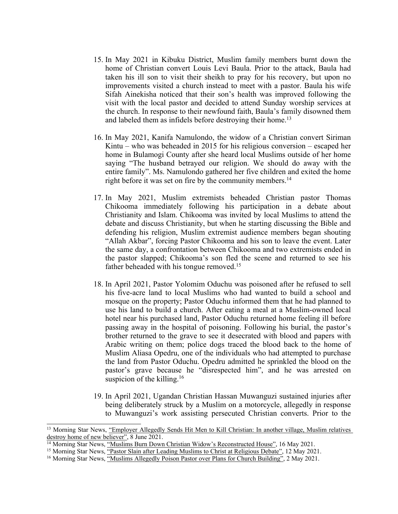- 15. In May 2021 in Kibuku District, Muslim family members burnt down the home of Christian convert Louis Levi Baula. Prior to the attack, Baula had taken his ill son to visit their sheikh to pray for his recovery, but upon no improvements visited <sup>a</sup> church instead to meet with <sup>a</sup> pastor. Baula his wife Sifah Ainekisha noticed that their son'<sup>s</sup> health was improved following the visit with the local pastor and decided to attend Sunday worship services at the church. In response to their newfound faith, Baula'<sup>s</sup> family disowned them and labeled them as infidels before destroying their home. 13
- 16. In May 2021, Kanifa Namulondo, the widow of <sup>a</sup> Christian convert Siriman Kintu – who was beheaded in 2015 for his religious conversion – escaped her home in Bulamogi County after she heard local Muslims outside of her home saying "The husband betrayed our religion. We should do away with the entire family". Ms. Namulondo gathered her five children and exited the home right before it was set on fire by the community members. 14
- 17. In May 2021, Muslim extremists beheaded Christian pastor Thomas Chikooma immediately following his participation in <sup>a</sup> debate about Christianity and Islam. Chikooma was invited by local Muslims to attend the debate and discuss Christianity, but when he starting discussing the Bible and defending his religion, Muslim extremist audience members began shouting "Allah Akbar", forcing Pastor Chikooma and his son to leave the event. Later the same day, <sup>a</sup> confrontation between Chikooma and two extremists ended in the pastor slapped; Chikooma'<sup>s</sup> son fled the scene and returned to see his father beheaded with his tongue removed.<sup>15</sup>
- 18. In April 2021, Pastor Yolomim Oduchu was poisoned after he refused to sell his five-acre land to local Muslims who had wanted to build <sup>a</sup> school and mosque on the property; Pastor Oduchu informed them that he had planned to use his land to build <sup>a</sup> church. After eating <sup>a</sup> meal at <sup>a</sup> Muslim-owned local hotel near his purchased land, Pastor Oduchu returned home feeling ill before passing away in the hospital of poisoning. Following his burial, the pastor'<sup>s</sup> brother returned to the grave to see it desecrated with blood and papers with Arabic writing on them; police dogs traced the blood back to the home of Muslim Aliasa Opedru, one of the individuals who had attempted to purchase the land from Pastor Oduchu. Opedru admitted he sprinkled the blood on the pastor'<sup>s</sup> grave because he "disrespected him", and he was arrested on suspicion of the killing. 16
- 19. In April 2021, Ugandan Christian Hassan Muwanguzi sustained injuries after being deliberately struck by <sup>a</sup> Muslim on <sup>a</sup> motorcycle, allegedly in response to Muwanguzi'<sup>s</sup> work assisting persecuted Christian converts. Prior to the

<sup>&</sup>lt;sup>13</sup> Morning Star News, "[Employer](https://morningstarnews.org/2021/06/employer-allegedly-sends-hit-men-to-kill-christian/) Allegedly Sends Hit Men to Kill Christian: In another village, Muslim relatives [destroy](https://morningstarnews.org/2021/06/employer-allegedly-sends-hit-men-to-kill-christian/) home of new believer", 8 June 2021.

<sup>&</sup>lt;sup>14</sup> Morning Star News, "Muslims Burn Down Christian Widow's [Reconstructed](https://morningstarnews.org/2021/05/muslims-burn-down-christian-widows-reconstructed-house/) House", 16 May 2021.

<sup>&</sup>lt;sup>15</sup> Morning Star News, "Pastor Slain after Leading Muslims to Christ at [Religious](https://morningstarnews.org/2021/05/pastor-slain-after-leading-muslims-to-christ-at-religious-debate/) Debate", 12 May 2021.

<sup>&</sup>lt;sup>16</sup> Morning Star News, "Muslims [Allegedly](https://morningstarnews.org/2021/05/muslims-allegedly-poison-pastor-over-plans-for-church-building/) Poison Pastor over Plans for Church Building", 2 May 2021.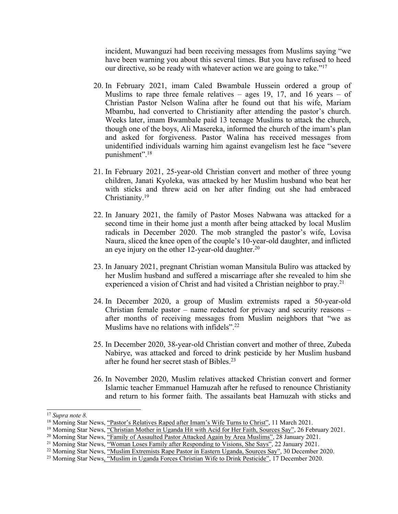incident, Muwanguzi had been receiving messages from Muslims saying "we have been warning you about this several times. But you have refused to heed our directive, so be ready with whatever action we are going to take."<sup>17</sup>

- 20. In February 2021, imam Caled Bwambale Hussein ordered <sup>a</sup> group of Muslims to rape three female relatives – ages 19, 17, and 16 years – of Christian Pastor Nelson Walina after he found out that his wife, Mariam Mbambu, had converted to Christianity after attending the pastor'<sup>s</sup> church. Weeks later, imam Bwambale paid 13 teenage Muslims to attack the church, though one of the boys, Ali Masereka, informed the church of the imam'<sup>s</sup> plan and asked for forgiveness. Pastor Walina has received messages from unidentified individuals warning him against evangelism lest he face "severe punishment". 18
- 21. In February 2021, 25-year-old Christian convert and mother of three young children, Janati Kyoleka, was attacked by her Muslim husband who beat her with sticks and threw acid on her after finding out she had embraced Christianity.<sup>19</sup>
- 22. In January 2021, the family of Pastor Moses Nabwana was attacked for <sup>a</sup> second time in their home just <sup>a</sup> month after being attacked by local Muslim radicals in December 2020. The mob strangled the pastor'<sup>s</sup> wife, Lovisa Naura, sliced the knee open of the couple'<sup>s</sup> 10-year-old daughter, and inflicted an eye injury on the other 12-year-old daughter. $20$
- 23. In January 2021, pregnan<sup>t</sup> Christian woman Mansitula Buliro was attacked by her Muslim husband and suffered <sup>a</sup> miscarriage after she revealed to him she experienced <sup>a</sup> vision of Christ and had visited <sup>a</sup> Christian neighbor to pray. 21
- 24. In December 2020, <sup>a</sup> group of Muslim extremists raped <sup>a</sup> 50-year-old Christian female pastor – name redacted for privacy and security reasons – after months of receiving messages from Muslim neighbors that "we as Muslims have no relations with infidels".<sup>22</sup>
- 25. In December 2020, 38-year-old Christian convert and mother of three, Zubeda Nabirye, was attacked and forced to drink pesticide by her Muslim husband after he found her secret stash of Bibles. 23
- 26. In November 2020, Muslim relatives attacked Christian convert and former Islamic teacher Emmanuel Hamuzah after he refused to renounce Christianity and return to his former faith. The assailants beat Hamuzah with sticks and

<sup>17</sup> *Supra note 8.*

<sup>&</sup>lt;sup>18</sup> Morning Star News, "Pastor's [Relatives](https://morningstarnews.org/2021/03/pastors-relatives-raped-after-imams-wife-turns-to-christ/) Raped after Imam's Wife Turns to Christ", 11 March 2021.

<sup>&</sup>lt;sup>19</sup> Morning Star News, "Christian Mother in [Uganda](https://morningstarnews.org/2021/02/christian-mother-in-uganda-hit-with-acid-for-her-faith-sources-say/) Hit with Acid for Her Faith, Sources Say", 26 February 2021.

<sup>20</sup> Morning Star News, "Family of [Assaulted](https://morningstarnews.org/2021/01/family-of-assaulted-pastor-attacked-again-by-area-muslims/) Pastor Attacked Again by Area Muslims", 28 January 2021.

<sup>&</sup>lt;sup>21</sup> Morning Star News, "Woman Loses Family after [Responding](https://morningstarnews.org/2021/01/woman-loses-family-after-responding-to-visions-she-says/) to Visions, She Says", 22 January 2021.

<sup>&</sup>lt;sup>22</sup> Morning Star News, "Muslim Extremists Rape Pastor in Eastern [Uganda,](https://morningstarnews.org/2020/12/muslim-extremists-rape-pastor-in-eastern-uganda-sources-say/) Sources Say", 30 December 2020.

<sup>&</sup>lt;sup>23</sup> Morning Star News, "Muslim in [Uganda](https://morningstarnews.org/2020/12/muslim-in-uganda-forces-christian-wife-to-drink-pesticide/) Forces Christian Wife to Drink Pesticide", 17 December 2020.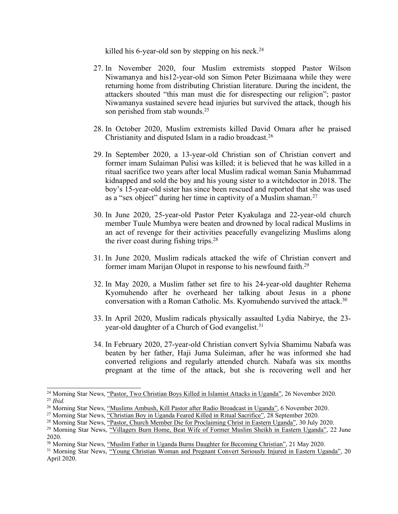killed his 6-year-old son by stepping on his neck. 24

- 27. In November 2020, four Muslim extremists stopped Pastor Wilson Niwamanya and his12-year-old son Simon Peter Bizimaana while they were returning home from distributing Christian literature. During the incident, the attackers shouted "this man must die for disrespecting our religion"; pastor Niwamanya sustained severe head injuries but survived the attack, though his son perished from stab wounds.<sup>25</sup>
- 28. In October 2020, Muslim extremists killed David Omara after he praised Christianity and disputed Islam in <sup>a</sup> radio broadcast. 26
- 29. In September 2020, <sup>a</sup> 13-year-old Christian son of Christian convert and former imam Sulaiman Pulisi was killed; it is believed that he was killed in <sup>a</sup> ritual sacrifice two years after local Muslim radical woman Sania Muhammad kidnapped and sold the boy and his young sister to <sup>a</sup> witchdoctor in 2018. The boy'<sup>s</sup> 15-year-old sister has since been rescued and reported that she was used as a "sex object" during her time in captivity of a Muslim shaman.<sup>27</sup>
- 30. In June 2020, 25-year-old Pastor Peter Kyakulaga and 22-year-old church member Tuule Mumbya were beaten and drowned by local radical Muslims in an act of revenge for their activities peacefully evangelizing Muslims along the river coast during fishing trips.<sup>28</sup>
- 31. In June 2020, Muslim radicals attacked the wife of Christian convert and former imam Marijan Olupot in response to his newfound faith. 29
- 32. In May 2020, <sup>a</sup> Muslim father set fire to his 24-year-old daughter Rehema Kyomuhendo after he overheard her talking about Jesus in <sup>a</sup> phone conversation with <sup>a</sup> Roman Catholic. Ms. Kyomuhendo survived the attack. 30
- 33. In April 2020, Muslim radicals physically assaulted Lydia Nabirye, the 23 year-old daughter of a Church of God evangelist.<sup>31</sup>
- 34. In February 2020, 27-year-old Christian convert Sylvia Shamimu Nabafa was beaten by her father, Haji Juma Suleiman, after he was informed she had converted religions and regularly attended church. Nabafa was six months pregnan<sup>t</sup> at the time of the attack, but she is recovering well and her

<sup>&</sup>lt;sup>24</sup> Morning Star News, "Pastor, Two Christian Boys Killed in Islamist Attacks in [Uganda](https://morningstarnews.org/2020/11/pastor-two-christian-boys-killed-in-islamist-attacks-in-uganda/)", 26 November 2020. 25 *Ibid.*

<sup>&</sup>lt;sup>26</sup> Morning Star News, "Muslims [Ambush,](https://morningstarnews.org/2020/11/muslims-ambush-kill-pastor-after-radio-broadcast-in-uganda/) Kill Pastor after Radio Broadcast in Uganda", 6 November 2020.

<sup>&</sup>lt;sup>27</sup> Morning Star News, "Christian Boy in [Uganda](https://morningstarnews.org/2020/09/christian-boy-in-uganda-feared-killed-in-ritual-sacrifice/) Feared Killed in Ritual Sacrifice", 28 September 2020.

<sup>28</sup> Morning Star News, "Pastor, Church Member Die for [Proclaiming](https://morningstarnews.org/2020/07/pastor-church-member-die-for-proclaiming-christ-in-eastern-uganda/) Christ in Eastern Uganda", 30 July 2020.

<sup>&</sup>lt;sup>29</sup> Morning Star News, "[Villagers](https://morningstarnews.org/2020/06/villagers-burn-home-beat-wife-of-former-muslim-sheikh-in-eastern-uganda/) Burn Home, Beat Wife of Former Muslim Sheikh in Eastern Uganda", 22 June 2020.

<sup>30</sup> Morning Star News, "Muslim Father in Uganda Burns Daughter for [Becoming](https://morningstarnews.org/2020/05/muslim-father-in-uganda-burns-daughter-for-becoming-christian/) Christian", <sup>21</sup> May 2020.

<sup>&</sup>lt;sup>31</sup> Morning Star News, "Young Christian Woman and Pregnant Convert [Seriously](https://morningstarnews.org/2020/04/young-christian-woman-and-pregnant-convert-seriously-injured-in-eastern-uganda/) Injured in Eastern Uganda", 20 April 2020.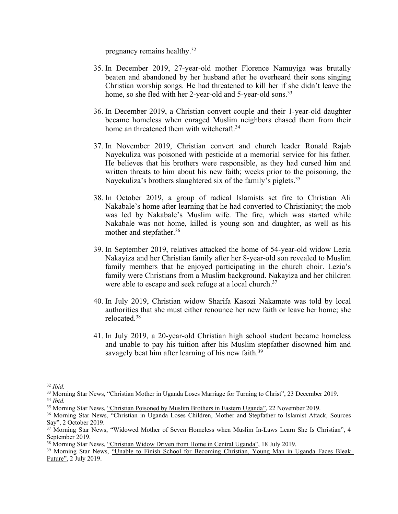pregnancy remains healthy. 32

- 35. In December 2019, 27-year-old mother Florence Namuyiga was brutally beaten and abandoned by her husband after he overheard their sons singing Christian worship songs. He had threatened to kill her if she didn'<sup>t</sup> leave the home, so she fled with her 2-year-old and 5-year-old sons.<sup>33</sup>
- 36. In December 2019, <sup>a</sup> Christian convert couple and their 1-year-old daughter became homeless when enraged Muslim neighbors chased them from their home an threatened them with witchcraft.<sup>34</sup>
- 37. In November 2019, Christian convert and church leader Ronald Rajab Nayekuliza was poisoned with pesticide at <sup>a</sup> memorial service for his father. He believes that his brothers were responsible, as they had cursed him and written threats to him about his new faith; weeks prior to the poisoning, the Nayekuliza's brothers slaughtered six of the family's piglets.<sup>35</sup>
- 38. In October 2019, <sup>a</sup> group of radical Islamists set fire to Christian Ali Nakabale'<sup>s</sup> home after learning that he had converted to Christianity; the mob was led by Nakabale'<sup>s</sup> Muslim wife. The fire, which was started while Nakabale was not home, killed is young son and daughter, as well as his mother and stepfather. 36
- 39. In September 2019, relatives attacked the home of 54-year-old widow Lezia Nakayiza and her Christian family after her 8-year-old son revealed to Muslim family members that he enjoyed participating in the church choir. Lezia'<sup>s</sup> family were Christians from <sup>a</sup> Muslim background. Nakayiza and her children were able to escape and seek refuge at <sup>a</sup> local church. 37
- 40. In July 2019, Christian widow Sharifa Kasozi Nakamate was told by local authorities that she must either renounce her new faith or leave her home; she relocated. 38
- 41. In July 2019, <sup>a</sup> 20-year-old Christian high school student became homeless and unable to pay his tuition after his Muslim stepfather disowned him and savagely beat him after learning of his new faith.<sup>39</sup>

<sup>32</sup> *Ibid.*

<sup>&</sup>lt;sup>33</sup> Morning Star News, "Christian Mother in Uganda Loses [Marriage](https://morningstarnews.org/2019/12/christian-mother-in-uganda-loses-marriage-for-turning-to-christ/) for Turning to Christ", 23 December 2019. 34 *Ibid.*

<sup>35</sup> Morning Star News, "Christian Poisoned by Muslim Brothers in Eastern [Uganda](https://morningstarnews.org/2019/11/christian-poisoned-by-muslim-brothers-in-eastern-uganda-sources-say/)", <sup>22</sup> November 2019.

<sup>36</sup> Morning Star News, "Christian in Uganda Loses Children, Mother and Stepfather to Islamist Attack, Sources Say", 2 October 2019.

<sup>37</sup> Morning Star News, "Widowed Mother of Seven [Homeless](https://morningstarnews.org/2019/09/widowed-mother-of-seven-homeless-when-muslim-in-laws-learn-she-is-christian/) when Muslim In-Laws Learn She Is Christian", <sup>4</sup> September 2019.

<sup>38</sup> Morning Star News, "Christian Widow Driven from Home in Central [Uganda](https://morningstarnews.org/2019/07/christian-widow-driven-from-home-in-central-uganda/)", 18 July 2019.

<sup>&</sup>lt;sup>39</sup> Morning Star News, "Unable to Finish School for [Becoming](https://morningstarnews.org/2019/07/unable-to-finish-school-for-becoming-christian-young-man-in-uganda-faces-bleak-future/) Christian, Young Man in Uganda Faces Bleak [Future](https://morningstarnews.org/2019/07/unable-to-finish-school-for-becoming-christian-young-man-in-uganda-faces-bleak-future/)", 2 July 2019.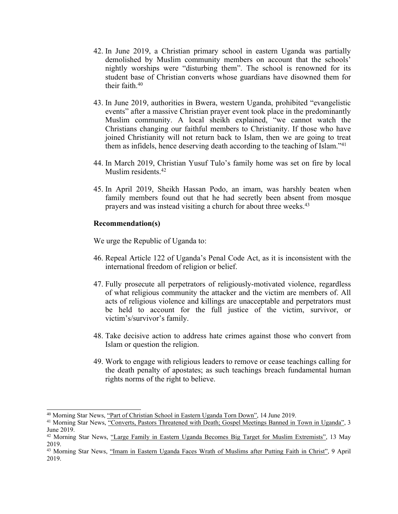- 42. In June 2019, <sup>a</sup> Christian primary school in eastern Uganda was partially demolished by Muslim community members on account that the schools' nightly worships were "disturbing them". The school is renowned for its student base of Christian converts whose guardians have disowned them for their faith. 40
- 43. In June 2019, authorities in Bwera, western Uganda, prohibited "evangelistic events" after <sup>a</sup> massive Christian prayer event took place in the predominantly Muslim community. A local sheikh explained, "we cannot watch the Christians changing our faithful members to Christianity. If those who have joined Christianity will not return back to Islam, then we are going to treat them as infidels, hence deserving death according to the teaching of Islam."<sup>41</sup>
- 44. In March 2019, Christian Yusuf Tulo'<sup>s</sup> family home was set on fire by local Muslim residents. 42
- 45. In April 2019, Sheikh Hassan Podo, an imam, was harshly beaten when family members found out that he had secretly been absent from mosque prayers and was instead visiting <sup>a</sup> church for about three weeks. 43

### **Recommendation(s)**

We urge the Republic of Uganda to:

- 46. Repeal Article 122 of Uganda'<sup>s</sup> Penal Code Act, as it is inconsistent with the international freedom of religion or belief.
- 47. Fully prosecute all perpetrators of religiously-motivated violence, regardless of what religious community the attacker and the victim are members of. All acts of religious violence and killings are unacceptable and perpetrators must be held to account for the full justice of the victim, survivor, or victim's/survivor'<sup>s</sup> family.
- 48. Take decisive action to address hate crimes against those who convert from Islam or question the religion.
- 49. Work to engage with religious leaders to remove or cease teachings calling for the death penalty of apostates; as such teachings breach fundamental human rights norms of the right to believe.

<sup>40</sup> Morning Star News, "Part of Christian School in Eastern [Uganda](https://morningstarnews.org/2019/06/part-of-christian-school-in-eastern-uganda-torn-down/) Torn Down", <sup>14</sup> June 2019.

<sup>&</sup>lt;sup>41</sup> Morning Star News, "Converts, Pastors Threatened with Death; Gospel [Meetings](https://morningstarnews.org/2019/06/converts-pastors-threatened-with-death-gospel-meetings-banned-in-town-in-uganda/) Banned in Town in Uganda", 3 June 2019.

<sup>42</sup> Morning Star News, "Large Family in Eastern Uganda Becomes Big Target for Muslim [Extremists](https://morningstarnews.org/2019/05/large-family-in-eastern-uganda-becomes-big-target-for-muslim-extremists/)", 13 May 2019.

<sup>43</sup> Morning Star News, "Imam in Eastern [Uganda](https://morningstarnews.org/2019/04/imam-in-eastern-uganda-faces-wrath-of-muslims-after-putting-faith-in-christ/) Faces Wrath of Muslims after Putting Faith in Christ", 9 April 2019.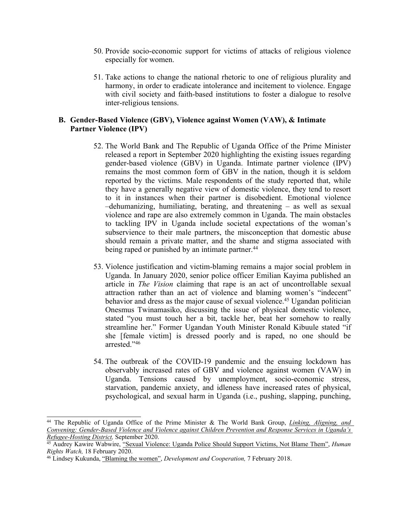- 50. Provide socio-economic suppor<sup>t</sup> for victims of attacks of religious violence especially for women.
- 51. Take actions to change the national rhetoric to one of religious plurality and harmony, in order to eradicate intolerance and incitement to violence. Engage with civil society and faith-based institutions to foster <sup>a</sup> dialogue to resolve inter-religious tensions.

## **B. Gender-Based Violence (GBV), Violence against Women (VAW), & Intimate Partner Violence (IPV)**

- 52. The World Bank and The Republic of Uganda Office of the Prime Minister released <sup>a</sup> repor<sup>t</sup> in September 2020 highlighting the existing issues regarding gender-based violence (GBV) in Uganda. Intimate partner violence (IPV) remains the most common form of GBV in the nation, though it is seldom reported by the victims. Male respondents of the study reported that, while they have <sup>a</sup> generally negative view of domestic violence, they tend to resort to it in instances when their partner is disobedient. Emotional violence –dehumanizing, humiliating, berating, and threatening – as well as sexual violence and rape are also extremely common in Uganda. The main obstacles to tackling IPV in Uganda include societal expectations of the woman'<sup>s</sup> subservience to their male partners, the misconception that domestic abuse should remain <sup>a</sup> private matter, and the shame and stigma associated with being raped or punished by an intimate partner.<sup>44</sup>
- 53. Violence justification and victim-blaming remains <sup>a</sup> major social problem in Uganda. In January 2020, senior police officer Emilian Kayima published an article in *The Vision* claiming that rape is an act of uncontrollable sexual attraction rather than an act of violence and blaming women'<sup>s</sup> "indecent" behavior and dress as the major cause of sexual violence. <sup>45</sup> Ugandan politician Onesmus Twinamasiko, discussing the issue of physical domestic violence, stated "you must touch her <sup>a</sup> bit, tackle her, beat her somehow to really streamline her." Former Ugandan Youth Minister Ronald Kibuule stated "if she [female victim] is dressed poorly and is raped, no one should be arrested."<sup>46</sup>
- 54. The outbreak of the COVID-19 pandemic and the ensuing lockdown has observably increased rates of GBV and violence against women (VAW) in Uganda. Tensions caused by unemployment, socio-economic stress, starvation, pandemic anxiety, and idleness have increased rates of physical, psychological, and sexual harm in Uganda (i.e., pushing, slapping, punching,

<sup>44</sup> The Republic of Uganda Office of the Prime Minister & The World Bank Group, *Linking, [Aligning,](https://openknowledge.worldbank.org/bitstream/handle/10986/34494/Linking-Aligning-and-Convening-Gender-Based-Violence-and-Violence-Against-Children-Prevention-and-Response-Services-in-Uganda-s-Refugee-Hosting-Districts.pdf?sequence=1&isAllowed=y) and Convening: [Gender-Based](https://openknowledge.worldbank.org/bitstream/handle/10986/34494/Linking-Aligning-and-Convening-Gender-Based-Violence-and-Violence-Against-Children-Prevention-and-Response-Services-in-Uganda-s-Refugee-Hosting-Districts.pdf?sequence=1&isAllowed=y) Violence and Violence against Children Prevention and Response Services in Uganda'<sup>s</sup> [Refugee-Hosting](https://openknowledge.worldbank.org/bitstream/handle/10986/34494/Linking-Aligning-and-Convening-Gender-Based-Violence-and-Violence-Against-Children-Prevention-and-Response-Services-in-Uganda-s-Refugee-Hosting-Districts.pdf?sequence=1&isAllowed=y) District,* September 2020.

<sup>45</sup> Audrey Kawire Wabwire, "Sexual Violence: Uganda Police Should Support [Victims,](https://www.hrw.org/news/2020/02/18/sexual-violence-uganda-police-should-support-victims-not-blame-them) Not Blame Them", *Human Rights Watch,* 18 February 2020.

<sup>46</sup> Lindsey Kukunda, "[Blaming](https://www.dandc.eu/en/article/cases-rape-ugandan-politicians-blame-victims-and-way-they-dress) the women", *Development and Cooperation,* 7 February 2018.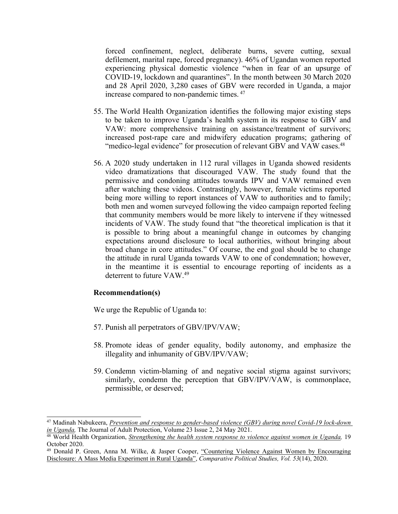forced confinement, neglect, deliberate burns, severe cutting, sexual defilement, marital rape, forced pregnancy). 46% of Ugandan women reported experiencing physical domestic violence "when in fear of an upsurge of COVID-19, lockdown and quarantines". In the month between 30 March 2020 and 28 April 2020, 3,280 cases of GBV were recorded in Uganda, <sup>a</sup> major increase compared to non-pandemic times. 47

- 55. The World Health Organization identifies the following major existing steps to be taken to improve Uganda'<sup>s</sup> health system in its response to GBV and VAW: more comprehensive training on assistance/treatment of survivors; increased post-rape care and midwifery education programs; gathering of "medico-legal evidence" for prosecution of relevant GBV and VAW cases.<sup>48</sup>
- 56. A2020 study undertaken in 112 rural villages in Uganda showed residents video dramatizations that discouraged VAW. The study found that the permissive and condoning attitudes towards IPV and VAW remained even after watching these videos. Contrastingly, however, female victims reported being more willing to report instances of VAW to authorities and to family; both men and women surveyed following the video campaign reported feeling that community members would be more likely to intervene if they witnessed incidents of VAW. The study found that "the theoretical implication is that it is possible to bring about <sup>a</sup> meaningful change in outcomes by changing expectations around disclosure to local authorities, without bringing about broad change in core attitudes." Of course, the end goal should be to change the attitude in rural Uganda towards VAW to one of condemnation; however, in the meantime it is essential to encourage reporting of incidents as <sup>a</sup> deterrent to future VAW. 49

### **Recommendation(s)**

We urge the Republic of Uganda to:

- 57. Punish all perpetrators of GBV/IPV/VAW;
- 58. Promote ideas of gender equality, bodily autonomy, and emphasize the illegality and inhumanity of GBV/IPV/VAW;
- 59. Condemn victim-blaming of and negative social stigma against survivors; similarly, condemn the perception that GBV/IPV/VAW, is commonplace, permissible, or deserved;

<sup>47</sup> Madinah Nabukeera, *[Prevention](https://www.emerald.com/insight/content/doi/10.1108/JAP-08-2020-0032/full/pdf?title=prevention-and-response-to-gender-based-violence-gbv-during-novel-covid-19-lock-down-in-uganda) and response to gender-based violence (GBV) during novel Covid-19 lock-down in [Uganda](https://www.emerald.com/insight/content/doi/10.1108/JAP-08-2020-0032/full/pdf?title=prevention-and-response-to-gender-based-violence-gbv-during-novel-covid-19-lock-down-in-uganda),* The Journal of Adult Protection, Volume 23 Issue 2, 24 May 2021.

<sup>48</sup> World Health Organization, *[Strengthening](https://apps.who.int/iris/rest/bitstreams/1312776/retrieve) the health system response to violence against women in Uganda,* 19 October 2020.

<sup>49</sup> Donald P. Green, Anna M. Wilke, & Jasper Cooper, "Countering Violence Against Women by [Encouraging](https://journals.sagepub.com/doi/pdf/10.1177/0010414020912275) Disclosure: A Mass Media [Experiment](https://journals.sagepub.com/doi/pdf/10.1177/0010414020912275) in Rural Uganda", *Comparative Political Studies, Vol. 53*(14), 2020.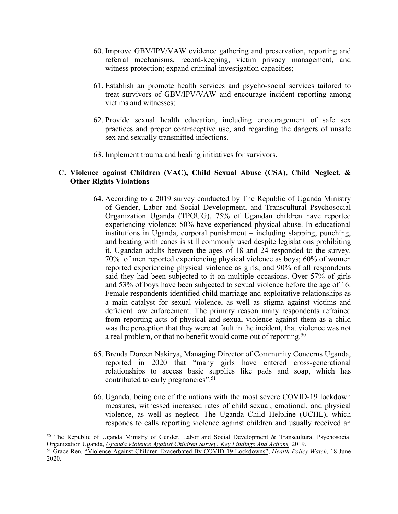- 60. Improve GBV/IPV/VAW evidence gathering and preservation, reporting and referral mechanisms, record-keeping, victim privacy management, and witness protection; expand criminal investigation capacities;
- 61. Establish an promote health services and psycho-social services tailored to treat survivors of GBV/IPV/VAW and encourage incident reporting among victims and witnesses;
- 62. Provide sexual health education, including encouragemen<sup>t</sup> of safe sex practices and proper contraceptive use, and regarding the dangers of unsafe sex and sexually transmitted infections.
- 63. Implement trauma and healing initiatives for survivors.

## **C. Violence against Children (VAC), Child Sexual Abuse (CSA), Child Neglect, & Other Rights Violations**

- 64. According to <sup>a</sup> 2019 survey conducted by The Republic of Uganda Ministry of Gender, Labor and Social Development, and Transcultural Psychosocial Organization Uganda (TPOUG), 75% of Ugandan children have reported experiencing violence; 50% have experienced physical abuse. In educational institutions in Uganda, corporal punishment – including slapping, punching, and beating with canes is still commonly used despite legislations prohibiting it. Ugandan adults between the ages of 18 and 24 responded to the survey. 70% of men reported experiencing physical violence as boys; 60% of women reported experiencing physical violence as girls; and 90% of all respondents said they had been subjected to it on multiple occasions. Over 57% of girls and 53% of boys have been subjected to sexual violence before the age of 16. Female respondents identified child marriage and exploitative relationships as <sup>a</sup> main catalyst for sexual violence, as well as stigma against victims and deficient law enforcement. The primary reason many respondents refrained from reporting acts of physical and sexual violence against them as <sup>a</sup> child was the perception that they were at fault in the incident, that violence was not a real problem, or that no benefit would come out of reporting.<sup>50</sup>
- 65. Brenda Doreen Nakirya, Managing Director of Community Concerns Uganda, reported in 2020 that "many girls have entered cross-generational relationships to access basic supplies like pads and soap, which has contributed to early pregnancies". 51
- 66. Uganda, being one of the nations with the most severe COVID-19 lockdown measures, witnessed increased rates of child sexual, emotional, and physical violence, as well as neglect. The Uganda Child Helpline (UCHL), which responds to calls reporting violence against children and usually received an

<sup>&</sup>lt;sup>50</sup> The Republic of Uganda Ministry of Gender, Labor and Social Development & Transcultural Psychosocial Organization Uganda, *Uganda Violence Against Children Survey: Key [Findings](http://tpoug.org/wp-content/uploads/2019/12/knowledge-development-resource5.pdf) And Actions,* 2019.

<sup>51</sup> Grace Ren, "Violence Against Children [Exacerbated](https://healthpolicy-watch.news/violence-against-children-exacerbated-by-covid-19-lockdowns/) By COVID-19 Lockdowns", *Health Policy Watch,* 18 June 2020.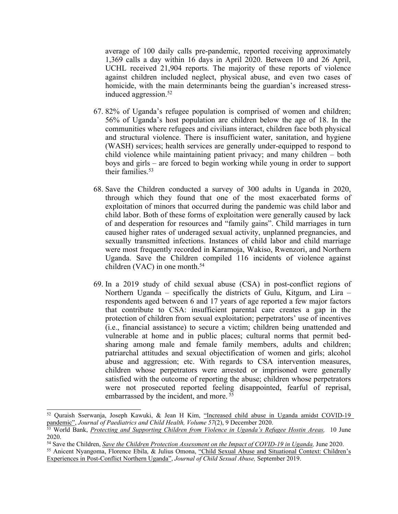average of 100 daily calls pre-pandemic, reported receiving approximately 1,369 calls <sup>a</sup> day within 16 days in April 2020. Between 10 and 26 April, UCHL received 21,904 reports. The majority of these reports of violence against children included neglect, physical abuse, and even two cases of homicide, with the main determinants being the guardian'<sup>s</sup> increased stressinduced aggression. 52

- 67. 82% of Uganda'<sup>s</sup> refugee population is comprised of women and children; 56% of Uganda'<sup>s</sup> host population are children below the age of 18. In the communities where refugees and civilians interact, children face both physical and structural violence. There is insufficient water, sanitation, and hygiene (WASH) services; health services are generally under-equipped to respond to child violence while maintaining patient privacy; and many children – both boys and girls – are forced to begin working while young in order to suppor<sup>t</sup> their families.<sup>53</sup>
- 68. Save the Children conducted <sup>a</sup> survey of 300 adults in Uganda in 2020, through which they found that one of the most exacerbated forms of exploitation of minors that occurred during the pandemic was child labor and child labor. Both of these forms of exploitation were generally caused by lack of and desperation for resources and "family gains". Child marriages in turn caused higher rates of underaged sexual activity, unplanned pregnancies, and sexually transmitted infections. Instances of child labor and child marriage were most frequently recorded in Karamoja, Wakiso, Rwenzori, and Northern Uganda. Save the Children compiled 116 incidents of violence against children (VAC) in one month. 54
- 69. In <sup>a</sup> 2019 study of child sexual abuse (CSA) in post-conflict regions of Northern Uganda – specifically the districts of Gulu, Kitgum, and Lira – respondents aged between 6 and 17 years of age reported <sup>a</sup> few major factors that contribute to CSA: insufficient parental care creates <sup>a</sup> gap in the protection of children from sexual exploitation; perpetrators' use of incentives (i.e., financial assistance) to secure <sup>a</sup> victim; children being unattended and vulnerable at home and in public places; cultural norms that permit bedsharing among male and female family members, adults and children; patriarchal attitudes and sexual objectification of women and girls; alcohol abuse and aggression; etc. With regards to CSA intervention measures, children whose perpetrators were arrested or imprisoned were generally satisfied with the outcome of reporting the abuse; children whose perpetrators were not prosecuted reported feeling disappointed, fearful of reprisal, embarrassed by the incident, and more. 55

<sup>52</sup> Quraish Sserwanja, Joseph Kawuki, & Jean <sup>H</sup> Kim, "Increased child abuse in Uganda amidst [COVID-19](https://onlinelibrary.wiley.com/doi/full/10.1111/jpc.15289) [pandemic](https://onlinelibrary.wiley.com/doi/full/10.1111/jpc.15289)", *Journal of Paediatrics and Child Health, Volume 57*(2), 9 December 2020.

<sup>53</sup> World Bank, *Protecting and [Supporting](https://reliefweb.int/report/uganda/protecting-and-supporting-children-violence-uganda-s-refugee-hosting-areas) Children from Violence in Uganda'<sup>s</sup> Refugee Hostin Areas,* 10 June 2020.

<sup>54</sup> Save the Children, *Save the Children Protection [Assessment](https://resourcecentre.savethechildren.net/node/17885/pdf/Save%20the%20Children%20Child%20Protection%20Survey%20Report%20-%20June%202020%20Final_web.pdf) on the Impact of COVID-19 in Uganda,* June 2020.

<sup>&</sup>lt;sup>55</sup> Anicent Nyangoma, Florence Ebila, & Julius Omona, "Child Sexual Abuse and [Situational](https://www.researchgate.net/profile/Anicent-Nyangoma/publication/335848684_Child_Sexual_Abuse_and_Situational_Context_Children) Context: Children's [Experiences](https://www.researchgate.net/profile/Anicent-Nyangoma/publication/335848684_Child_Sexual_Abuse_and_Situational_Context_Children) in Post-Conflict Northern Uganda", *Journal of Child Sexual Abuse,* September 2019.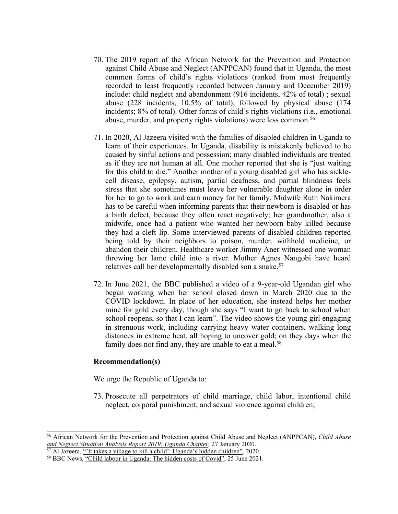- 70. The 2019 repor<sup>t</sup> of the African Network for the Prevention and Protection against Child Abuse and Neglect (ANPPCAN) found that in Uganda, the most common forms of child'<sup>s</sup> rights violations (ranked from most frequently recorded to least frequently recorded between January and December 2019) include: child neglect and abandonment (916 incidents, 42% of total) ; sexual abuse (228 incidents, 10.5% of total); followed by physical abuse (174 incidents; 8% of total). Other forms of child'<sup>s</sup> rights violations (i.e., emotional abuse, murder, and property rights violations) were less common. 56
- 71. In 2020, Al Jazeera visited with the families of disabled children in Uganda to learn of their experiences. In Uganda, disability is mistakenly believed to be caused by sinful actions and possession; many disabled individuals are treated as if they are not human at all. One mother reported that she is "just waiting for this child to die." Another mother of <sup>a</sup> young disabled girl who has sicklecell disease, epilepsy, autism, partial deafness, and partial blindness feels stress that she sometimes must leave her vulnerable daughter alone in order for her to go to work and earn money for her family. Midwife Ruth Nakimera has to be careful when informing parents that their newborn is disabled or has <sup>a</sup> birth defect, because they often react negatively; her grandmother, also <sup>a</sup> midwife, once had <sup>a</sup> patient who wanted her newborn baby killed because they had <sup>a</sup> cleft lip. Some interviewed parents of disabled children reported being told by their neighbors to poison, murder, withhold medicine, or abandon their children. Healthcare worker Jimmy Aner witnessed one woman throwing her lame child into <sup>a</sup> river. Mother Agnes Nangobi have heard relatives call her developmentally disabled son <sup>a</sup> snake. 57
- 72. In June 2021, the BBC published <sup>a</sup> video of <sup>a</sup> 9-year-old Ugandan girl who began working when her school closed down in March 2020 due to the COVID lockdown. In place of her education, she instead helps her mother mine for gold every day, though she says "I want to go back to school when school reopens, so that I can learn". The video shows the young girl engaging in strenuous work, including carrying heavy water containers, walking long distances in extreme heat, all hoping to uncover gold; on they days when the family does not find any, they are unable to eat <sup>a</sup> meal. 58

### **Recommendation(s)**

We urge the Republic of Uganda to:

73. Prosecute all perpetrators of child marriage, child labor, intentional child neglect, corporal punishment, and sexual violence against children;

<sup>56</sup> African Network for the Prevention and Protection against Child Abuse and Neglect (ANPPCAN), *Child [Abuse](http://www.anppcan.org/wp-content/uploads/2020/03/ANPPCAN-Stuational-Analysis-of-Child-Abuse-Neglect-in-Uganda-2019.pdf) and Neglect Situation [Analysis](http://www.anppcan.org/wp-content/uploads/2020/03/ANPPCAN-Stuational-Analysis-of-Child-Abuse-Neglect-in-Uganda-2019.pdf) Report 2019: Uganda Chapter,* 27 January 2020.

<sup>&</sup>lt;sup>57</sup> Al Jazeera, "It takes a village to kill a child': [Uganda](https://interactive.aljazeera.com/aje/2020/uganda-hidden-children/index.html)'s hidden children", 2020.

<sup>58</sup> BBC News, "Child labour in [Uganda:](https://www.bbc.com/news/av/world-africa-57600657) The hidden costs of Covid", 25 June 2021.